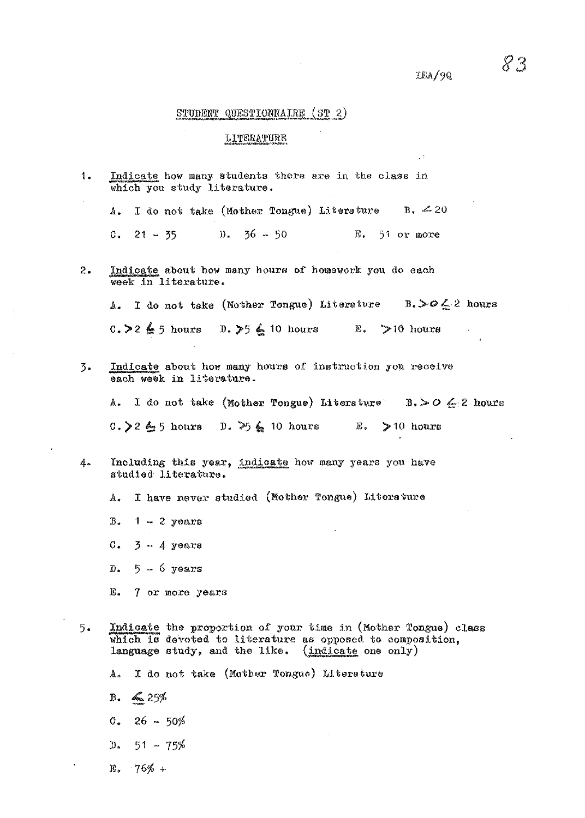$\text{GFA}/\text{9Q}$ 

 $\mathbb{R}^2$ 

# STUDENT QUESTIONNAIRE (ST 2)

## LITERATURE

| 1. | Indicate how many students there are in the class in<br>which you study literature.                                                                                             |
|----|---------------------------------------------------------------------------------------------------------------------------------------------------------------------------------|
|    | I do not take (Mother Tongue) Literature B. $\leq 20$<br>$\Delta$ .                                                                                                             |
|    | $21 - 35$ D. $36 - 50$ E. 51 or more<br>С.                                                                                                                                      |
| 2. | Indicate about how many hours of homework you do each<br>week in literature.                                                                                                    |
|    | A. I do not take (Mother Tongue) Literature B. $>$ O $\leq$ 2 hours                                                                                                             |
|    | C. > 2 $\leq$ 5 hours D. > 5 $\leq$ 10 hours E. > 10 hours                                                                                                                      |
| 3. | Indicate about how many hours of instruction you receive<br>each week in literature.                                                                                            |
|    | A. I do not take (Mother Tongue) Literature B. > O $\leq 2$ hours                                                                                                               |
|    | 0. > 2 $\leq$ 5 hours 0. > $\leq$ 10 hours E. > 10 hours                                                                                                                        |
| 4. | Including this year, indicate how many years you have<br>studied literature.                                                                                                    |
|    | I have never studied (Mother Tongue) Literature<br>$A_{\bullet}$                                                                                                                |
|    | $Bz$ 1 - 2 years                                                                                                                                                                |
|    | $C_*$ 3 - 4 years                                                                                                                                                               |
|    | $D0$ 5 - 6 years                                                                                                                                                                |
|    | E. 7 or more years                                                                                                                                                              |
| 5. | Indicate the proportion of your time in (Mother Tongue) class<br>which is devoted to literature as opposed to composition,<br>language study, and the like. (indicate one only) |
|    | I do not take (Mother Tongue) Literature<br>$A_{\bullet}$                                                                                                                       |
|    |                                                                                                                                                                                 |

- $B. \leq 25%$
- $c. 26 50%$
- $D_s = 51 75%$
- $E_8$  76% +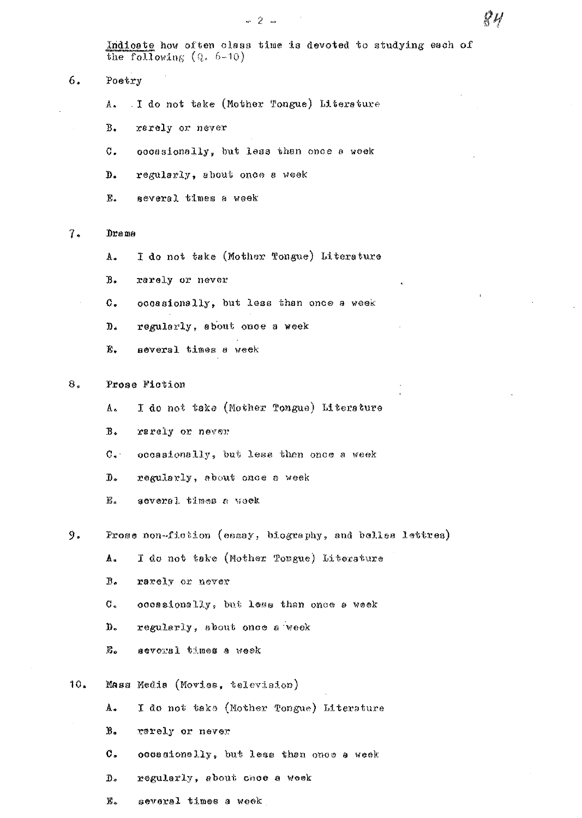Indicate how often class time is devoted to studying each of the following  $(Q. 6-10)$ 

## 6. Poetry

- I do not take (Mother Tongue) Litersture A.,
- **B.** rarely or never
- C. occasionally, but less than once a week
- D. regularly, about once a week
- Ê. several times a week

### $7.$ Drama

- I do not take (Mother Tongue) Literature Α.
- $B$ . rarely or never
- $\mathfrak{c}.$ occasionally, but less than once a week
- $D<sub>1</sub>$ regularly, about once a week
- 再. several times a week

### $B_{\star}$ Prose Fiction

- I do not take (Mother Tongue) Literature A.,
- $B<sub>o</sub>$ rarely or never
- $\mathbb{C}$ . occasionally, but less then once a week
- $\mathbb{D}$  . regularly, about once a week
- $\mathbf{E}$  . several times a week

9. Prose non-fiction (essay, biography, and belles lettres)

- I do not take (Mother Tongue) Literature A.
- $B<sub>o</sub>$ rarely or never
- $\sigma$ . occasionally, but less than once a week
- D. regularly, about once a week
- **B.** several times a week
- $10.$ Mass Media (Movies, television)
	- A. I do not take (Mother Tongue) Literature
	- $B<sub>o</sub>$ rarely or never
	- С. occasionally, but less than once a week
	- $\boldsymbol{D}$  . regularly, about once a week
	- $E_{\infty}$ several times a week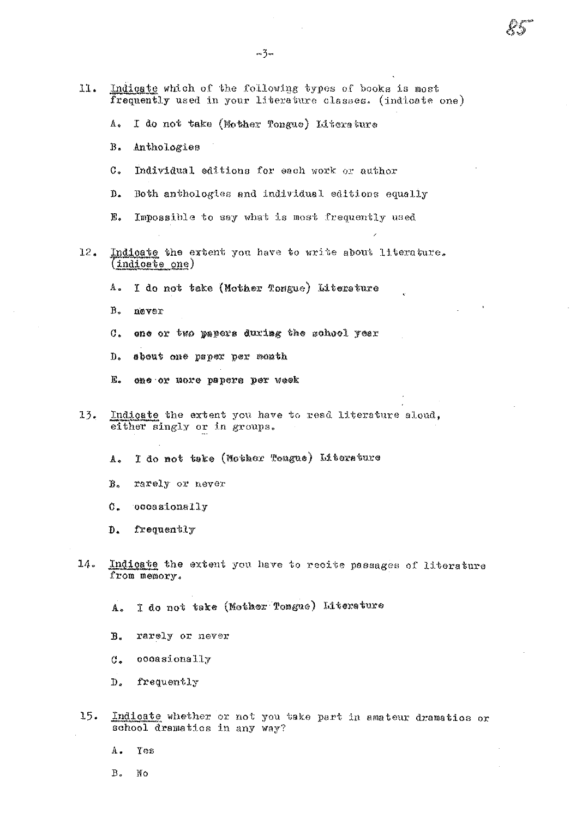- Indicate which of the following types of books is most 11. frequently used in your literature classes. (indicate one)
	- $\mathbb{A}_\bullet$ I do not take (Mother Tongue) Literature
	- $B<sub>0</sub>$ Anthologies
	- $\mathcal{C}$ . Individual editions for each work or author
	- Both anthologies and individual editions equally  $\mathbf{D}$ .
	- F. Impossible to say what is most frequently used
- Indicate the extent you have to write about literature.  $12.$  $(indiode one)$ 
	- $A_{\bullet}$ I do not take (Mother Tongue) Literature
	- $B^*$ never
	- $C_{\bullet}$ one or two papers during the school year
	- $D<sub>o</sub>$ sbeut one paper per month
	- $E<sub>o</sub>$ one or more papers per week
- $13.$ Indicate the extent you have to read literature aloud, either singly or in groups.

I do not take (Mother Teague) Literature A.

 $\mathbb{B}$ . rarely or never

 $\mathfrak{C}$ . occasionally

frequently  $\mathbf{D}$ .

 $14.$ Indicate the extent you have to recite passages of literature from memory.

I do not take (Mother Tongue) Literature A.

 $B<sub>a</sub>$ rarely or never

occasionally  $C_{\bullet}$ 

- irequently  $D_{\bullet}$
- $15.$ Indicate whether or not you take part in amateur dramatics or school dramatics in any way?
	- A. Yes

 $B<sub>a</sub>$ No